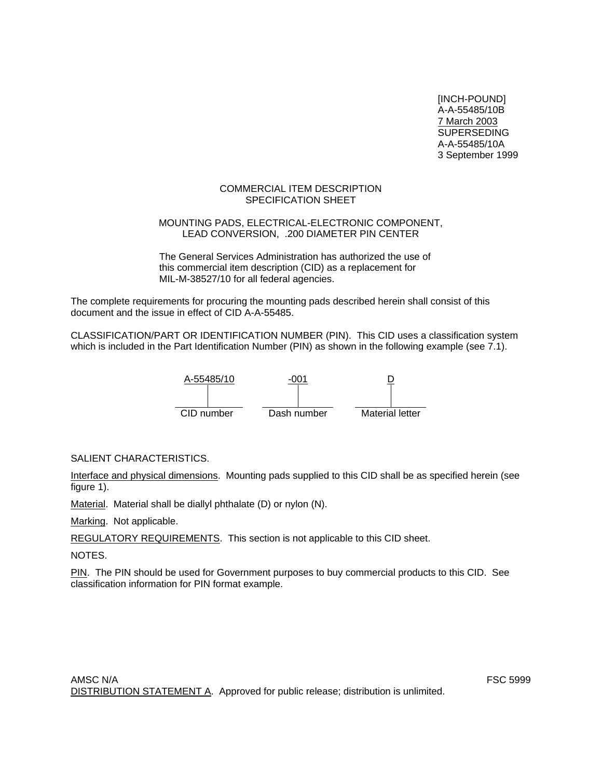[INCH-POUND] A-A-55485/10B 7 March 2003 SUPERSEDING A-A-55485/10A 3 September 1999

### COMMERCIAL ITEM DESCRIPTION SPECIFICATION SHEET

### MOUNTING PADS, ELECTRICAL-ELECTRONIC COMPONENT, LEAD CONVERSION, .200 DIAMETER PIN CENTER

The General Services Administration has authorized the use of this commercial item description (CID) as a replacement for MIL-M-38527/10 for all federal agencies.

The complete requirements for procuring the mounting pads described herein shall consist of this document and the issue in effect of CID A-A-55485.

CLASSIFICATION/PART OR IDENTIFICATION NUMBER (PIN). This CID uses a classification system which is included in the Part Identification Number (PIN) as shown in the following example (see 7.1).



SALIENT CHARACTERISTICS.

Interface and physical dimensions. Mounting pads supplied to this CID shall be as specified herein (see figure 1).

Material. Material shall be diallyl phthalate (D) or nylon (N).

Marking. Not applicable.

REGULATORY REQUIREMENTS. This section is not applicable to this CID sheet.

NOTES.

PIN. The PIN should be used for Government purposes to buy commercial products to this CID. See classification information for PIN format example.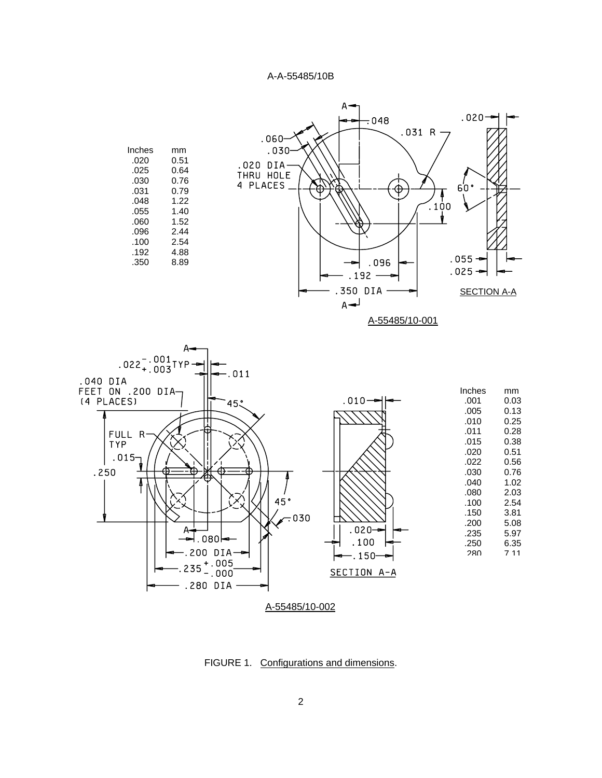



FIGURE 1. Configurations and dimensions.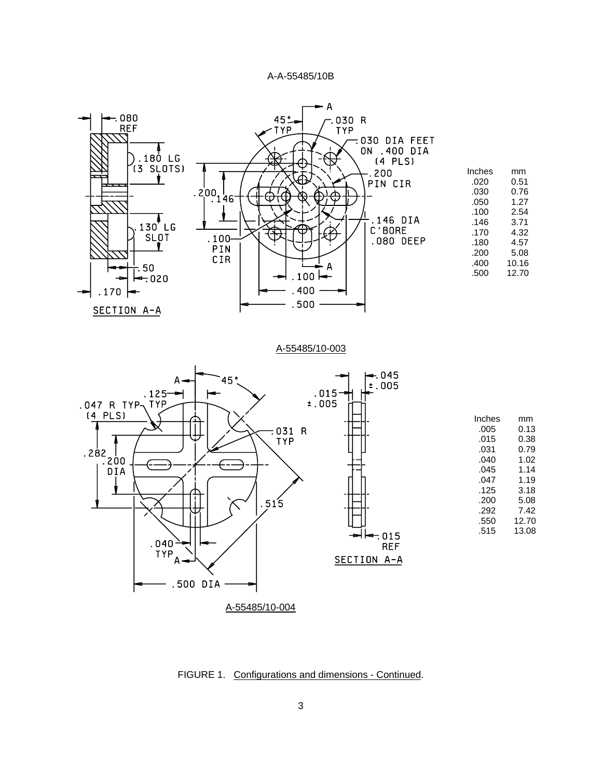

FIGURE 1. Configurations and dimensions - Continued.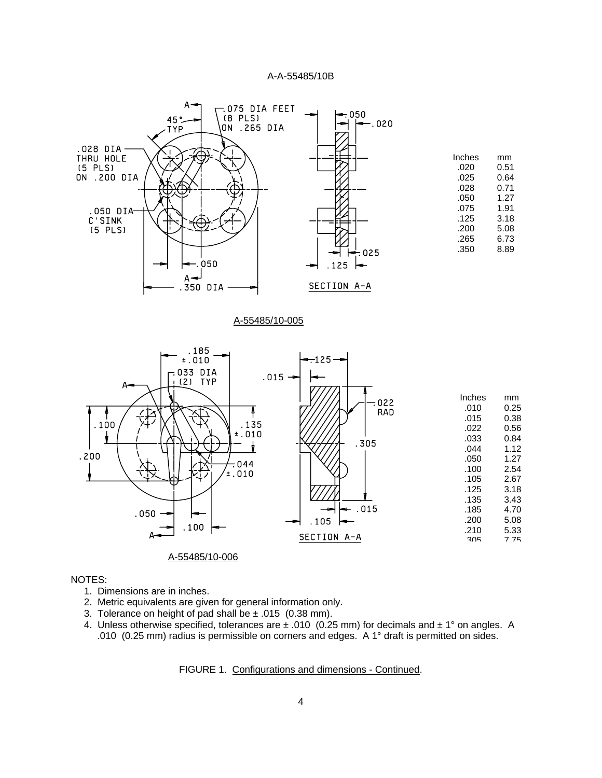

#### NOTES:

- 1. Dimensions are in inches.
- 2. Metric equivalents are given for general information only.
- 3. Tolerance on height of pad shall be  $\pm$  .015 (0.38 mm).
- 4. Unless otherwise specified, tolerances are  $\pm$  .010 (0.25 mm) for decimals and  $\pm$  1° on angles. A .010 (0.25 mm) radius is permissible on corners and edges. A 1° draft is permitted on sides.

FIGURE 1. Configurations and dimensions - Continued.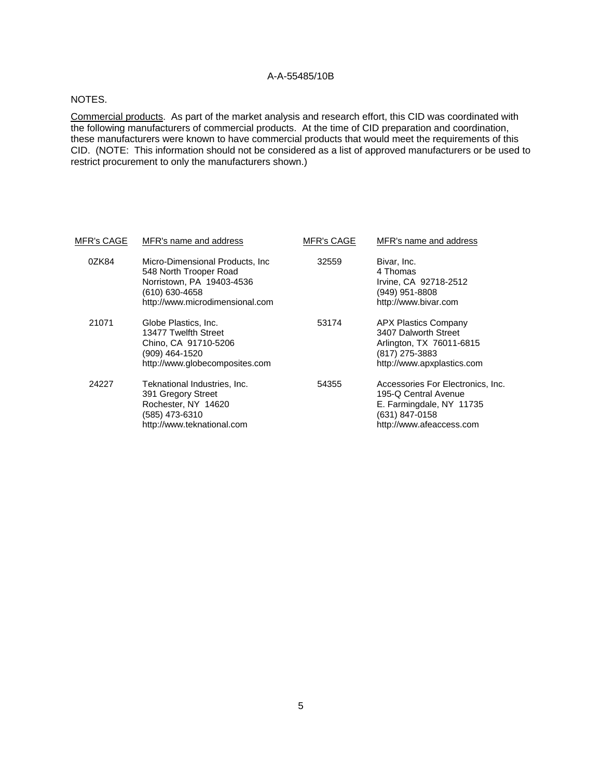#### NOTES.

Commercial products. As part of the market analysis and research effort, this CID was coordinated with the following manufacturers of commercial products. At the time of CID preparation and coordination, these manufacturers were known to have commercial products that would meet the requirements of this CID. (NOTE: This information should not be considered as a list of approved manufacturers or be used to restrict procurement to only the manufacturers shown.)

| <u>MFR's CAGE</u> | MFR's name and address                                                                                                                       | <b>MFR's CAGE</b> | MFR's name and address                                                                                                              |
|-------------------|----------------------------------------------------------------------------------------------------------------------------------------------|-------------------|-------------------------------------------------------------------------------------------------------------------------------------|
| 0ZK84             | Micro-Dimensional Products, Inc.<br>548 North Trooper Road<br>Norristown, PA 19403-4536<br>(610) 630-4658<br>http://www.microdimensional.com | 32559             | Bivar, Inc.<br>4 Thomas<br>Irvine, CA 92718-2512<br>(949) 951-8808<br>http://www.bivar.com                                          |
| 21071             | Globe Plastics, Inc.<br>13477 Twelfth Street<br>Chino, CA 91710-5206<br>(909) 464-1520<br>http://www.globecomposites.com                     | 53174             | <b>APX Plastics Company</b><br>3407 Dalworth Street<br>Arlington, TX 76011-6815<br>(817) 275-3883<br>http://www.apxplastics.com     |
| 24227             | Teknational Industries, Inc.<br>391 Gregory Street<br>Rochester, NY 14620<br>(585) 473-6310<br>http://www.teknational.com                    | 54355             | Accessories For Electronics, Inc.<br>195-Q Central Avenue<br>E. Farmingdale, NY 11735<br>(631) 847-0158<br>http://www.afeaccess.com |
|                   |                                                                                                                                              |                   |                                                                                                                                     |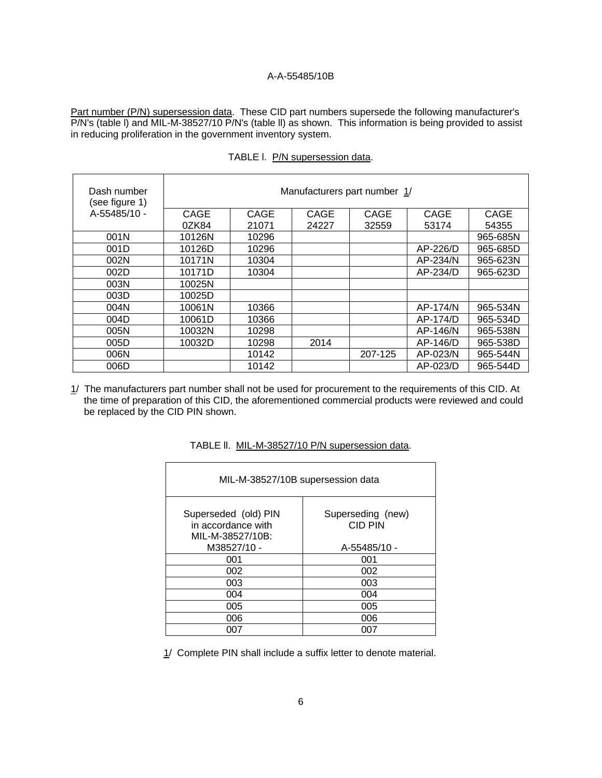Part number (P/N) supersession data. These CID part numbers supersede the following manufacturer's P/N's (table l) and MIL-M-38527/10 P/N's (table ll) as shown. This information is being provided to assist in reducing proliferation in the government inventory system.

| Dash number<br>(see figure 1) | Manufacturers part number 1/ |       |       |         |          |          |  |
|-------------------------------|------------------------------|-------|-------|---------|----------|----------|--|
| A-55485/10 -                  | CAGE                         | CAGE  | CAGE  | CAGE    | CAGE     | CAGE     |  |
|                               | 0ZK84                        | 21071 | 24227 | 32559   | 53174    | 54355    |  |
| 001N                          | 10126N                       | 10296 |       |         |          | 965-685N |  |
| 001D                          | 10126D                       | 10296 |       |         | AP-226/D | 965-685D |  |
| 002N                          | 10171N                       | 10304 |       |         | AP-234/N | 965-623N |  |
| 002D                          | 10171D                       | 10304 |       |         | AP-234/D | 965-623D |  |
| 003N                          | 10025N                       |       |       |         |          |          |  |
| 003D                          | 10025D                       |       |       |         |          |          |  |
| 004N                          | 10061N                       | 10366 |       |         | AP-174/N | 965-534N |  |
| 004D                          | 10061D                       | 10366 |       |         | AP-174/D | 965-534D |  |
| 005N                          | 10032N                       | 10298 |       |         | AP-146/N | 965-538N |  |
| 005D                          | 10032D                       | 10298 | 2014  |         | AP-146/D | 965-538D |  |
| 006N                          |                              | 10142 |       | 207-125 | AP-023/N | 965-544N |  |
| 006D                          |                              | 10142 |       |         | AP-023/D | 965-544D |  |

TABLE I. P/N supersession data.

1/ The manufacturers part number shall not be used for procurement to the requirements of this CID. At the time of preparation of this CID, the aforementioned commercial products were reviewed and could be replaced by the CID PIN shown.

| MIL-M-38527/10B supersession data                              |                                     |  |  |  |
|----------------------------------------------------------------|-------------------------------------|--|--|--|
| Superseded (old) PIN<br>in accordance with<br>MIL-M-38527/10B: | Superseding (new)<br><b>CID PIN</b> |  |  |  |
| M38527/10 -                                                    | A-55485/10 -                        |  |  |  |
| 001                                                            | 001                                 |  |  |  |
| 002                                                            | 002                                 |  |  |  |
| 003                                                            | 003                                 |  |  |  |
| 004                                                            | 004                                 |  |  |  |
| 005                                                            | 005                                 |  |  |  |
| 006                                                            | 006                                 |  |  |  |
| 007                                                            | 007                                 |  |  |  |

TABLE ll. MIL-M-38527/10 P/N supersession data.

1/ Complete PIN shall include a suffix letter to denote material.